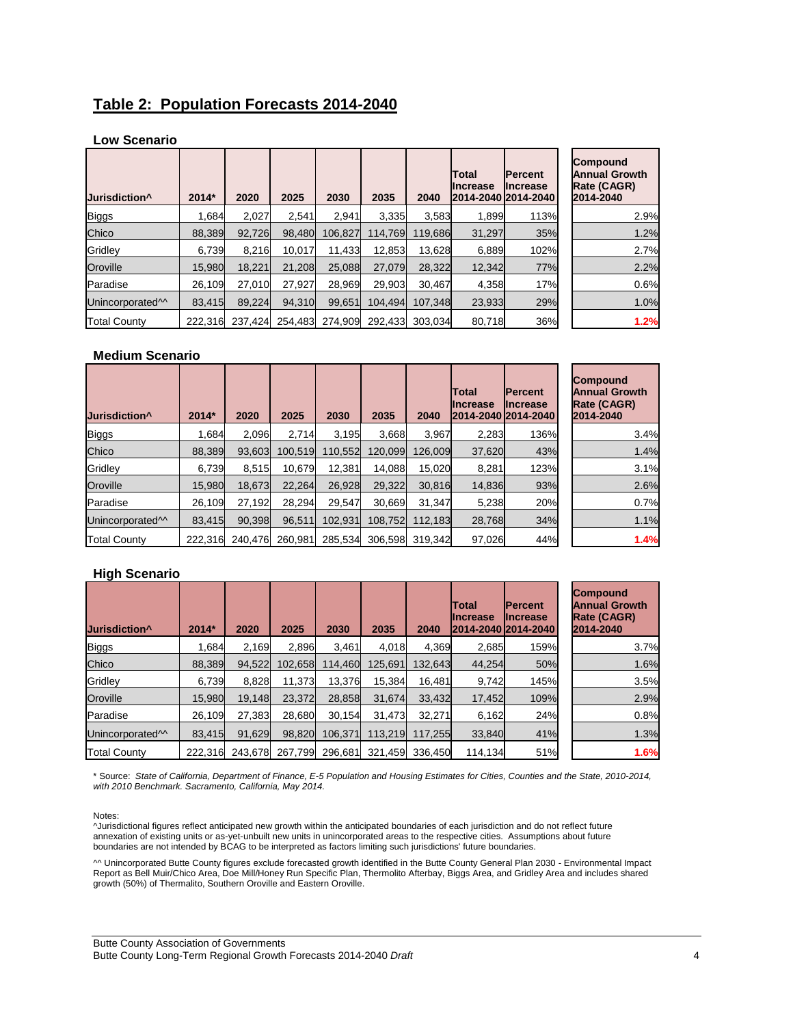# *Draft*

# Butte County Long-Term Regional Growth Forecasts 2014 – 2040

Prepared by: Butte County Association of Governments November  $25<sup>th</sup>$ , 2014



Chico, CA 95928 Phone: 530-879-2468 FAX: 530-879-244 [www.bcag.org](http://www.bcag.org/)

*This document is available online a[t www.bcag.org.](http://www.bcag.org/) Please direct any questions or comments to Mr. Brian Lasagna, BCAG Senior Planner by phone or email at blasagna@bcag.org.*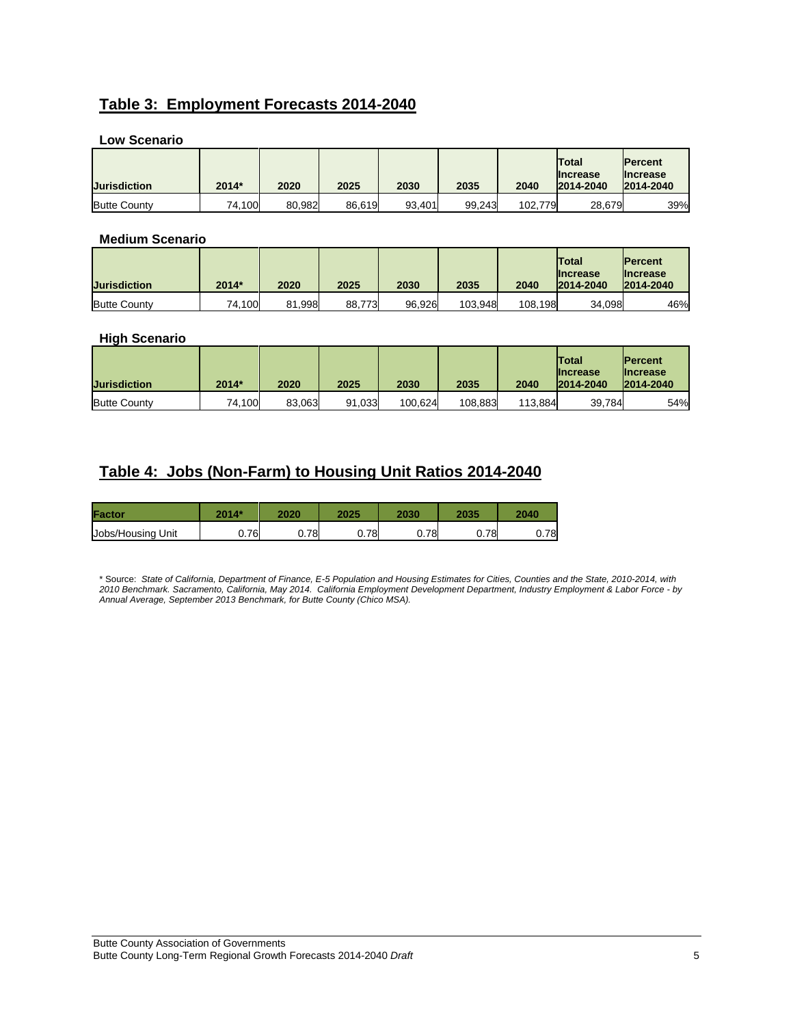# **TABLE OF CONTENTS**

# **INDEX OF TABLES**

# **APPENDICES**

Appendix 1: Preliminary County Level Updates (08/22/14) Appendix 2: Preliminary Jurisdiction Level Updates (10/14/14)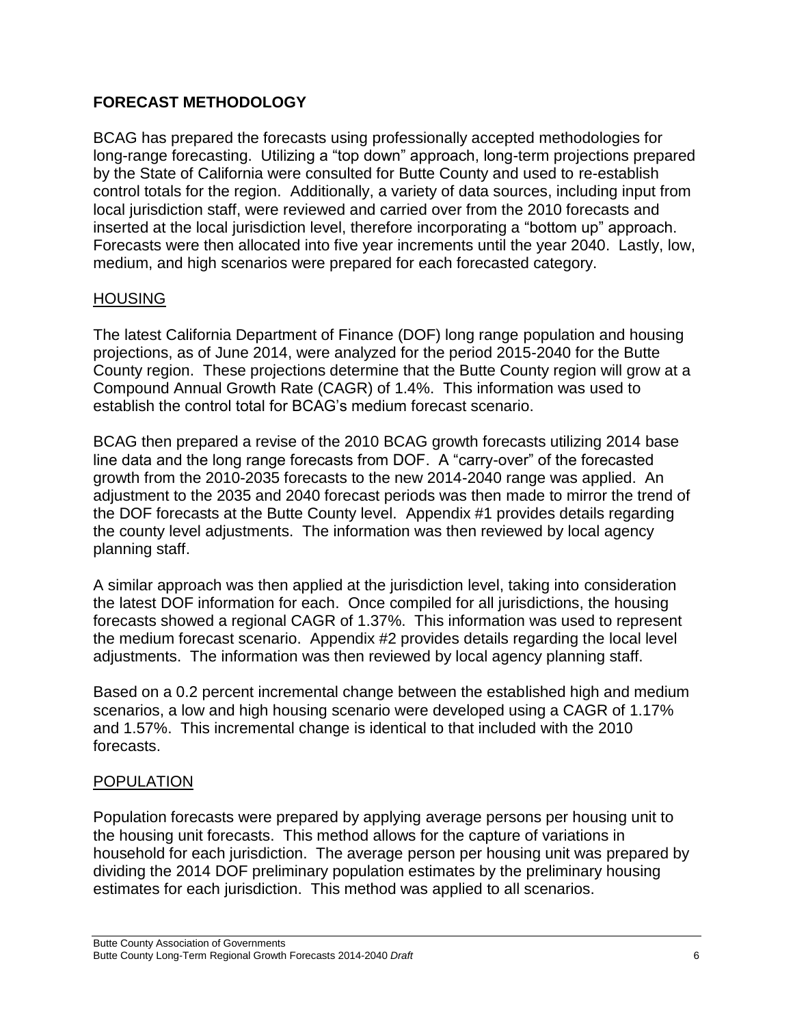# **INTRODUCTION**

Approximately every four years, the Butte County Association of Governments (BCAG) prepares long-term regional growth forecasts of housing, population, and employment for the Butte County area. Once prepared, the forecasts are utilized in developing BCAG's Metropolitan Transportation Plan (MTP), Sustainable Communities Strategy (SCS), Air Quality Conformity Determination, and Regional Housing Needs Plan and provides data support for BCAG's regional Travel Demand Model. Local land use planning agencies may also elect to utilize the forecasts for preparing district plans or city and county long range plans.

As in the past, the forecasts have been developed by BCAG in consultation with its Planning Directors Group which consists of representatives from each of BCAG's local jurisdiction members and the Butte Local Agency Formation Commission. Each of the local jurisdictions provided valuable input regarding the anticipated amount of growth within their respective planning areas.

A low, medium, and high scenario has been developed for each forecast of housing, population, and employment. The use of these scenarios provides for increased flexibility when utilizing the forecast for long-term planning and alleviates some of the uncertainty inherent in long range projections.

The regional growth forecasts will be updated again during the 2018/19 fiscal year in preparation for BCAG's 2020 MTP/SCS and to ensure that any unexpected trends will be integrated into the forecasts.

# **APPROACH**

The growth forecasts presented in this document represent a revision of the 2010-2035 forecasts developed during the 2010/11 fiscal year and utilized in preparing the 2016 MTP/SCS. This revision approach has been taken given the extensive amount of effort put forth by BCAG and the local agencies in developing the 2010-2035 forecasts, the lack of available grant funding to assist with its development, and minimal changes in local land use plans. As revised, the forecasts meet both state and federal transportation planning requirements.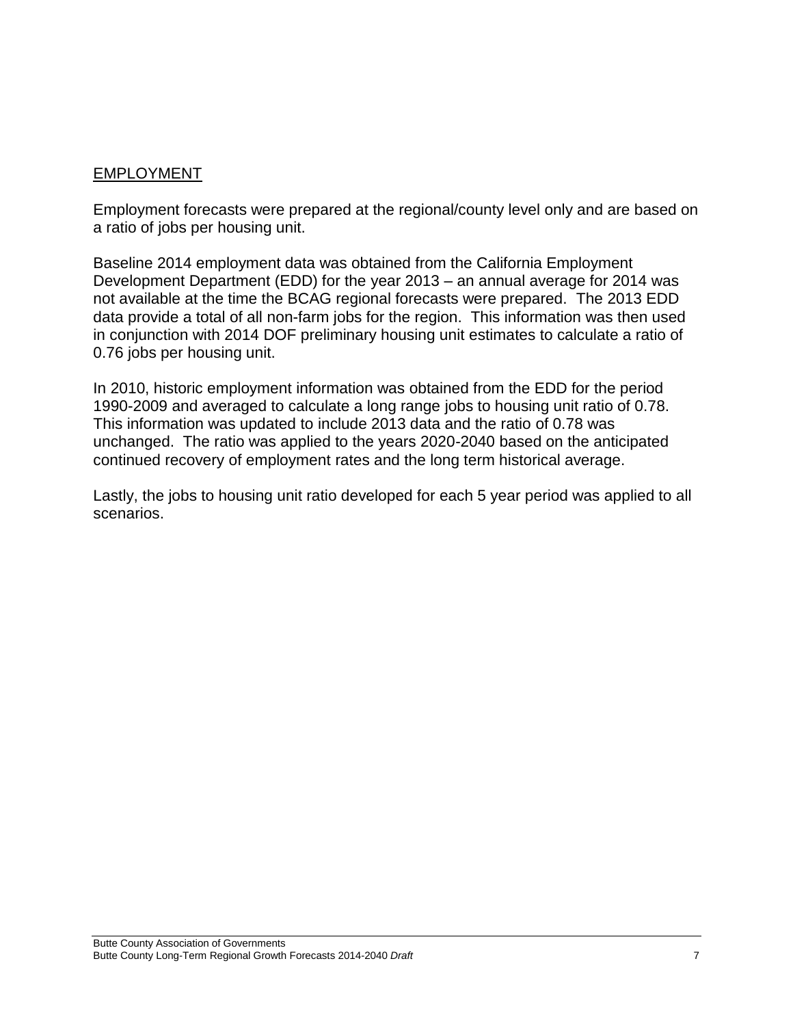# **REGIONAL FORECASTS**

In comparison to the regional forecasts prepared by BCAG in 2010, the 2014 forecasts present a similar growth trend with each of the first three projection periods (2020, 2025, and 2030) showing increased population growth over the previous. Between the years 2014 and 2030, the forecasts show a compound annual growth rate (CAGR) of 1.54% for the medium scenario. However, unlike the 2010 forecasts, the 2014 forecasts capture a greater return to the slower growth anticipated statewide for the 10 year period from 2030 to 2040. Between the years 2030 and 2040, the forecasts show a CAGR of 1.11% for the medium scenario.

As previously observed in BCAG's 2006 and 2010 growth forecasts, jurisdictions in the southern portions of the region are projected to absorb a greater percentage of the regional growth then achieved in past growth trends. The cities of Biggs and Gridley are forecasted to, at a minimum, double in population by the year 2040 and the City of Oroville is projected to see between 77% and 109% increases over the next 26 years. While the greatest amount of growth will continue to be occurring in the Chico area with a forecasted range of 13,507 – 19,099 new housing units by the year 2040.

Employment is on track with forecasts prepared in 2010. The 2014 jobs to housing unit ratio met the forecasts of 0.76, an increase from 0.74 year 2010 levels. The rebound is projected to continue with a return to historic long term levels 0.78 jobs per housing unit in 2020 and into the horizon year of 2040.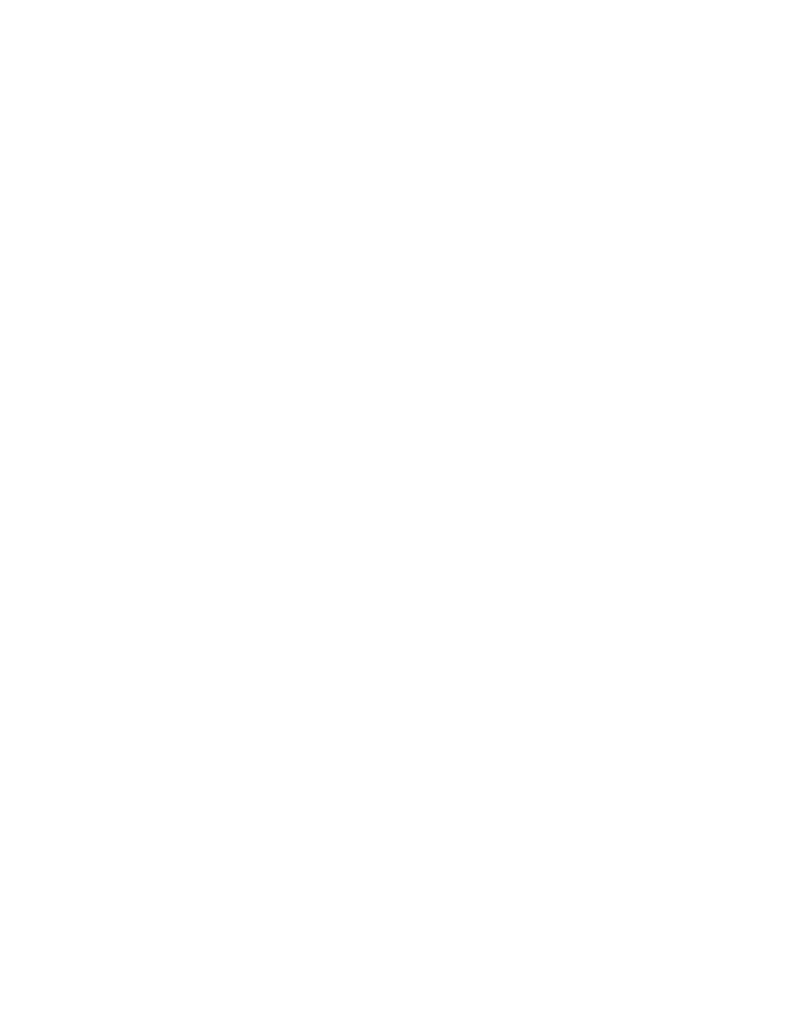## **Table 1: Housing Forecasts 2014-2040**

### **Low Scenario**

| Jurisdiction <sup>^</sup>    | 2014*  | 2020    | 2025    | 2030    | 2035    | 2040    | <b>Total</b><br><b>Increase</b> | <b>IPercent</b><br>IIncrease<br>2014-2040 2014-2040 | Compound<br><b>Annual Growth</b><br>Rate (CAGR)<br>2014-2040 |
|------------------------------|--------|---------|---------|---------|---------|---------|---------------------------------|-----------------------------------------------------|--------------------------------------------------------------|
| <b>Biggs</b>                 | 613    | 738     | 925     | 1,071   | 1,214   | 1,304   | 691                             | 113%                                                | 2.95%                                                        |
| Chico                        | 38.146 | 40.018  | 42.501  | 46.103  | 49,531  | 51,653  | 13,507                          | 35%                                                 | 1.17%                                                        |
| Gridley                      | 2,482  | 3.026   | 3,689   | 4,211   | 4,734   | 5,019   | 2,537                           | 102%                                                | 2.75%                                                        |
| Oroville                     | 6.408  | 7,306   | 8.504   | 10.060  | 10,859  | 11,357  | 4,949                           | 77%                                                 | 2.23%                                                        |
| Paradise                     | 13,023 | 13,472  | 13,930  | 14,450  | 14,915  | 15,197  | 2,174                           | 17%                                                 | 0.60%                                                        |
| Unincorporated <sup>11</sup> | 36,707 | 39,263  | 41,501  | 43,851  | 45.982  | 47,238  | 10,531                          | 29%                                                 | 0.97%                                                        |
| <b>Total County</b>          | 97,379 | 103.823 | 111.050 | 119,745 | 127,235 | 131.768 | 34,389                          | 35%                                                 | 1.17%                                                        |

### **Medium Scenario**

| Jurisdiction <sup>^</sup>    | 2014*  | 2020    | 2025    | 2030    | 2035    | 2040    | <b>Total</b><br>Increase<br>2014-2040 2014-2040 | <b>IPercent</b><br><b>Increase</b> | Compound<br><b>Annual Growth</b><br>Rate (CAGR)<br>2014-2040 |
|------------------------------|--------|---------|---------|---------|---------|---------|-------------------------------------------------|------------------------------------|--------------------------------------------------------------|
| <b>Biggs</b>                 | 613    | 763     | 988     | 1,163   | 1,335   | 1.444   | 831                                             | 136%                               | 3.35%                                                        |
| Chico                        | 38.146 | 40.396  | 43.381  | 47.711  | 51.831  | 54.382  | 16,236                                          | 43%                                | 1.37%                                                        |
| Gridley                      | 2,482  | 3,136   | 3,933   | 4.560   | 5,189   | 5,532   | 3,050                                           | 123%                               | 3.13%                                                        |
| Oroville                     | 6.408  | 7.488   | 8.928   | 10.798  | 11.758  | 12.357  | 5.949                                           | 93%                                | 2.56%                                                        |
| Paradise                     | 13,023 | 13,563  | 14,113  | 14.738  | 15.298  | 15,636  | 2,613                                           | 20%                                | 0.71%                                                        |
| Unincorporated <sup>11</sup> | 36.707 | 39.779  | 42.469  | 45.294  | 47.856  | 49.365  | 12,658                                          | 34%                                | 1.15%                                                        |
| <b>Total County</b>          | 97,379 | 105.125 | 113.812 | 124.264 | 133,266 | 138,716 | 41,337                                          | 42%                                | 1.37%                                                        |

### **High Scenario**

| Jurisdiction <sup>^</sup>    | $2014*$ | 2020    | 2025    | 2030    | 2035    | 2040    | <b>Total</b><br><b>Increase</b><br>2014-2040 2014-2040 | <b>IPercent</b><br><b>Increase</b> | <b>Compound</b><br><b>Annual Growth</b><br>Rate (CAGR)<br>2014-2040 |
|------------------------------|---------|---------|---------|---------|---------|---------|--------------------------------------------------------|------------------------------------|---------------------------------------------------------------------|
| <b>Biggs</b>                 | 613     | 789     | 1.054   | 1,260   | 1,463   | 1,590   | 977                                                    | 159%                               | 3.73%                                                               |
| Chico                        | 38.146  | 40,793  | 44,304  | 49.398  | 54.244  | 57,245  | 19,099                                                 | 50%                                | 1.57%                                                               |
| Gridley                      | 2.482   | 3,251   | 4,189   | 4.926   | 5,666   | 6,070   | 3,588                                                  | 145%                               | 3.50%                                                               |
| Oroville                     | 6,408   | 7,678   | 9,372   | 11,572  | 12.701  | 13,406  | 6,998                                                  | 109%                               | 2.88%                                                               |
| Paradise                     | 13,023  | 13,658  | 14,305  | 15,040  | 15,699  | 16,097  | 3,074                                                  | 24%                                | 0.82%                                                               |
| Unincorporated <sup>11</sup> | 36,707  | 40,321  | 43,485  | 46,808  | 49,821  | 51,597  | 14,890                                                 | 41%                                | 1.32%                                                               |
| <b>Total County</b>          | 97.379  | 106.491 | 116.710 | 129,005 | 139.594 | 146.005 | 48,626                                                 | 50%                                | 1.57%                                                               |

\* Source: *State of California, Department of Finance, E-5 Population and Housing Estimates for Cities, Counties and the State, 2010-2014, with 2010 Benchmark. Sacramento, California, May 2014.*

#### Notes:

^ Jurisdictional figures reflect anticipated new growth within the anticipated boundaries of each jurisdiction and do not reflect future annexation of existing units or as-yet-unbuilt new units in unincorporated areas to the respective cities. Assumptions about future boundaries are not intended by BCAG to be interpreted as factors limiting such jurisdictions' future boundaries.

^^ Unincorporated Butte County figures exclude forecasted growth identified in the Butte County General Plan 2030 - Environmental Impact Report as Bell Muir/Chico Area, Doe Mill/Honey Run Specific Plan, Thermolito Afterbay, Biggs Area, and Gridley Area and includes shared growth (50%) of Thermalito, Southern Oroville and Eastern Oroville.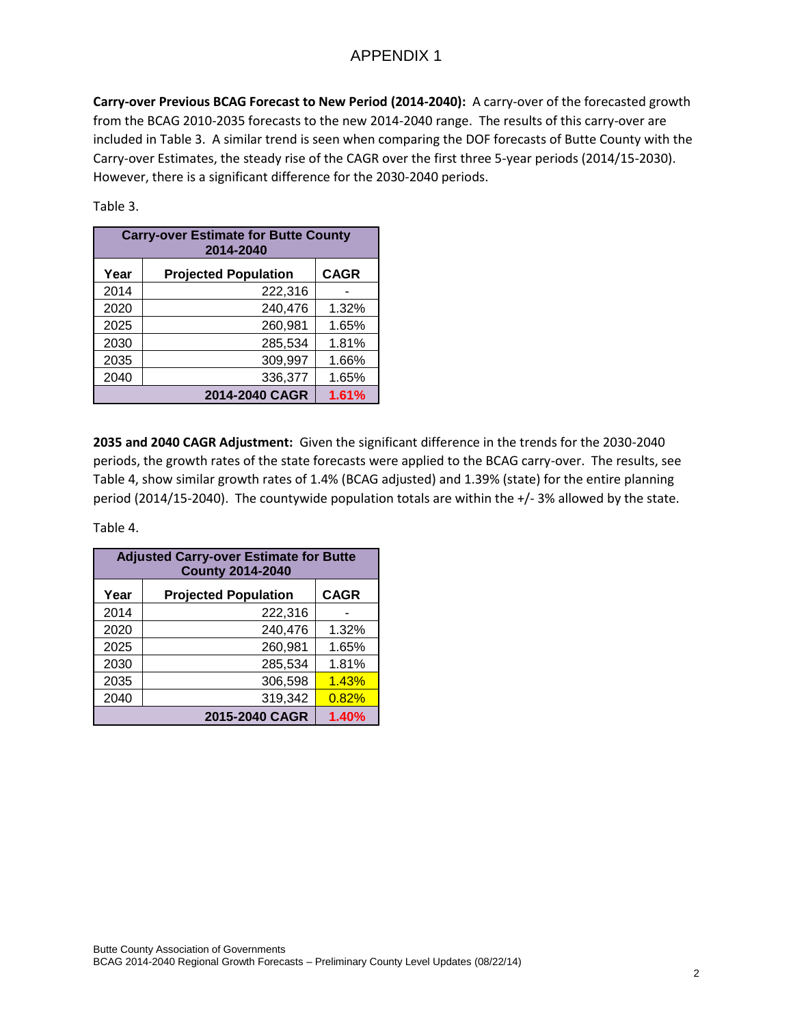| <b>Low Scenario</b> |
|---------------------|
|---------------------|

| Jurisdiction <sup>^</sup>    | 2014*   | 2020    | 2025    | 2030    | 2035    | 2040    | Total<br><b>Increase</b> | <b>Percent</b><br><b>Increase</b><br>2014-2040 2014-2040 | Compound<br><b>Annual Growth</b><br>Rate (CAGR)<br>2014-2040 |
|------------------------------|---------|---------|---------|---------|---------|---------|--------------------------|----------------------------------------------------------|--------------------------------------------------------------|
| <b>Biggs</b>                 | 1,684   | 2,027   | 2.541   | 2.941   | 3,335   | 3,583   | 1,899                    | 113%                                                     | 2.9%                                                         |
| Chico                        | 88.389  | 92.726  | 98.480  | 106.827 | 114.769 | 119.686 | 31,297                   | 35%                                                      | 1.2%                                                         |
| Gridley                      | 6,739   | 8.216   | 10.017  | 11.433  | 12,853  | 13,628  | 6,889                    | 102%                                                     | 2.7%                                                         |
| Oroville                     | 15.980  | 18.221  | 21.208  | 25.088  | 27.079  | 28.322  | 12,342                   | 77%                                                      | 2.2%                                                         |
| Paradise                     | 26.109  | 27,010  | 27.927  | 28.969  | 29.903  | 30,467  | 4,358                    | 17%                                                      | 0.6%                                                         |
| Unincorporated <sup>11</sup> | 83.415  | 89.224  | 94.310  | 99.651  | 104.494 | 107.348 | 23,933                   | 29%                                                      | 1.0%                                                         |
| <b>Total County</b>          | 222.316 | 237.424 | 254.483 | 274.909 | 292.433 | 303.034 | 80,718                   | 36%                                                      | 1.2%                                                         |

# **pound And Growth Rate (CAGR) 2014-2040**

### **Medium Scenario**

| Jurisdiction <sup>^</sup>    | 2014*   | 2020    | 2025    | 2030    | 2035    | 2040    | Total<br><b>Increase</b> | <b>Percent</b><br><b>Increase</b><br>2014-2040 2014-2040 | Compound<br><b>Annual Growth</b><br>Rate (CAGR)<br>2014-2040 |
|------------------------------|---------|---------|---------|---------|---------|---------|--------------------------|----------------------------------------------------------|--------------------------------------------------------------|
| <b>Biggs</b>                 | 1.684   | 2.096   | 2.714   | 3.195   | 3.668   | 3.967   | 2,283                    | 136%                                                     | 3.4%                                                         |
| Chico                        | 88.389  | 93.603  | 100.519 | 110.552 | 120.099 | 126.009 | 37.620                   | 43%                                                      | 1.4%                                                         |
| Gridley                      | 6,739   | 8.515   | 10.679  | 12.381  | 14.088  | 15,020  | 8,281                    | 123%                                                     | 3.1%                                                         |
| Oroville                     | 15.980  | 18.673  | 22.264  | 26.928  | 29.322  | 30.816  | 14,836                   | 93%                                                      | 2.6%                                                         |
| Paradise                     | 26.109  | 27.192  | 28.294  | 29,547  | 30.669  | 31.347  | 5,238                    | 20%                                                      | 0.7%                                                         |
| Unincorporated <sup>11</sup> | 83.415  | 90.398  | 96,511  | 102.931 | 108.752 | 112.183 | 28,768                   | 34%                                                      | 1.1%                                                         |
| <b>Total County</b>          | 222.316 | 240.476 | 260.981 | 285.534 | 306,598 | 319.342 | 97,026                   | 44%                                                      | 1.4%                                                         |

### **High Scenario**

| Jurisdiction <sup>^</sup>    | 2014*   | 2020    | 2025    | 2030    | 2035    | 2040    | Total<br><b>Increase</b> | <b>IPercent</b><br>IIncrease<br>2014-2040 2014-2040 | <b>Compound</b><br><b>Annual Growth</b><br>Rate (CAGR)<br>2014-2040 |
|------------------------------|---------|---------|---------|---------|---------|---------|--------------------------|-----------------------------------------------------|---------------------------------------------------------------------|
| <b>Biggs</b>                 | 1,684   | 2,169   | 2.896   | 3.461   | 4,018   | 4.369   | 2,685                    | 159%                                                | 3.7%                                                                |
| Chico                        | 88.389  | 94.522  | 102.658 | 114.460 | 125.691 | 132.643 | 44,254                   | 50%                                                 | 1.6%                                                                |
| Gridley                      | 6,739   | 8,828   | 11,373  | 13.376  | 15,384  | 16.481  | 9,742                    | 145%                                                | 3.5%                                                                |
| Oroville                     | 15.980  | 19.148  | 23,372  | 28,858  | 31.674  | 33,432  | 17,452                   | 109%                                                | 2.9%                                                                |
| Paradise                     | 26.109  | 27,383  | 28.680  | 30.154  | 31,473  | 32,271  | 6,162                    | 24%                                                 | 0.8%                                                                |
| Unincorporated <sup>11</sup> | 83.415  | 91.629  | 98,820  | 106.371 | 113.219 | 117.255 | 33,840                   | 41%                                                 | 1.3%                                                                |
| <b>Total County</b>          | 222.316 | 243.678 | 267.799 | 296.681 | 321.459 | 336.450 | 114,134                  | 51%                                                 | 1.6%                                                                |

\* Source: *State of California, Department of Finance, E-5 Population and Housing Estimates for Cities, Counties and the State, 2010-2014, with 2010 Benchmark. Sacramento, California, May 2014.*

Notes:

^Jurisdictional figures reflect anticipated new growth within the anticipated boundaries of each jurisdiction and do not reflect future annexation of existing units or as-yet-unbuilt new units in unincorporated areas to the respective cities. Assumptions about future boundaries are not intended by BCAG to be interpreted as factors limiting such jurisdictions' future boundaries.

^^ Unincorporated Butte County figures exclude forecasted growth identified in the Butte County General Plan 2030 - Environmental Impact Report as Bell Muir/Chico Area, Doe Mill/Honey Run Specific Plan, Thermolito Afterbay, Biggs Area, and Gridley Area and includes shared growth (50%) of Thermalito, Southern Oroville and Eastern Oroville.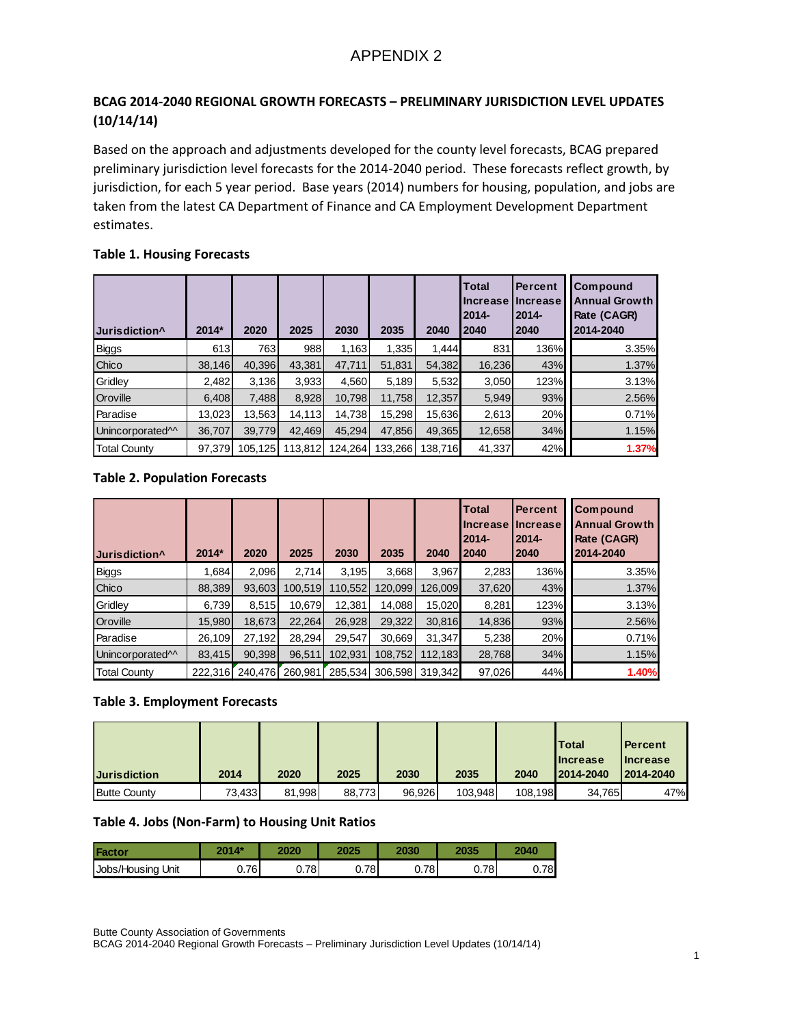# **Table 3: Employment Forecasts 2014-2040**

### **Low Scenario**

| <b>Jurisdiction</b> | 2014*  | 2020   | 2025   | 2030   | 2035   | 2040    | Total<br><b>Increase</b><br>2014-2040 | <b>IPercent</b><br><b>Increase</b><br>2014-2040 |
|---------------------|--------|--------|--------|--------|--------|---------|---------------------------------------|-------------------------------------------------|
| <b>Butte County</b> | 74.100 | 80.982 | 86.619 | 93.401 | 99,243 | 102.779 | 28.679                                | 39%                                             |

### **Medium Scenario**

| <b>Jurisdiction</b> | 2014*  | 2020   | 2025   | 2030   | 2035    | 2040    | <b>Total</b><br><b>Increase</b><br>2014-2040 | <b>IPercent</b><br><b>Increase</b><br>2014-2040 |
|---------------------|--------|--------|--------|--------|---------|---------|----------------------------------------------|-------------------------------------------------|
| <b>Butte County</b> | 74.100 | 81,998 | 88.773 | 96.926 | 103.948 | 108.198 | 34,098                                       | 46%                                             |

### **High Scenario**

| <b>Jurisdiction</b> | 2014*  | 2020   | 2025   | 2030    | 2035    | 2040    | <b>Total</b><br><b>Increase</b><br>2014-2040 | <b>IPercent</b><br><b>Increase</b><br>2014-2040 |
|---------------------|--------|--------|--------|---------|---------|---------|----------------------------------------------|-------------------------------------------------|
| <b>Butte County</b> | 74,100 | 83.063 | 91,033 | 100.624 | 108.883 | 113.884 | 39,784                                       | 54%                                             |

# **Table 4: Jobs (Non-Farm) to Housing Unit Ratios 2014-2040**

| Factor            | $2014*$    | 2020 | 2025 | 2030 | 2035       | 2040 |
|-------------------|------------|------|------|------|------------|------|
| Jobs/Housing Unit | 76<br>v. 1 | ບ.78 | 0.78 | 0.78 | 78<br>ν. ε | 0.78 |

\* Source: *State of California, Department of Finance, E-5 Population and Housing Estimates for Cities, Counties and the State, 2010-2014, with 2010 Benchmark. Sacramento, California, May 2014. California Employment Development Department, Industry Employment & Labor Force - by Annual Average, September 2013 Benchmark, for Butte County (Chico MSA).*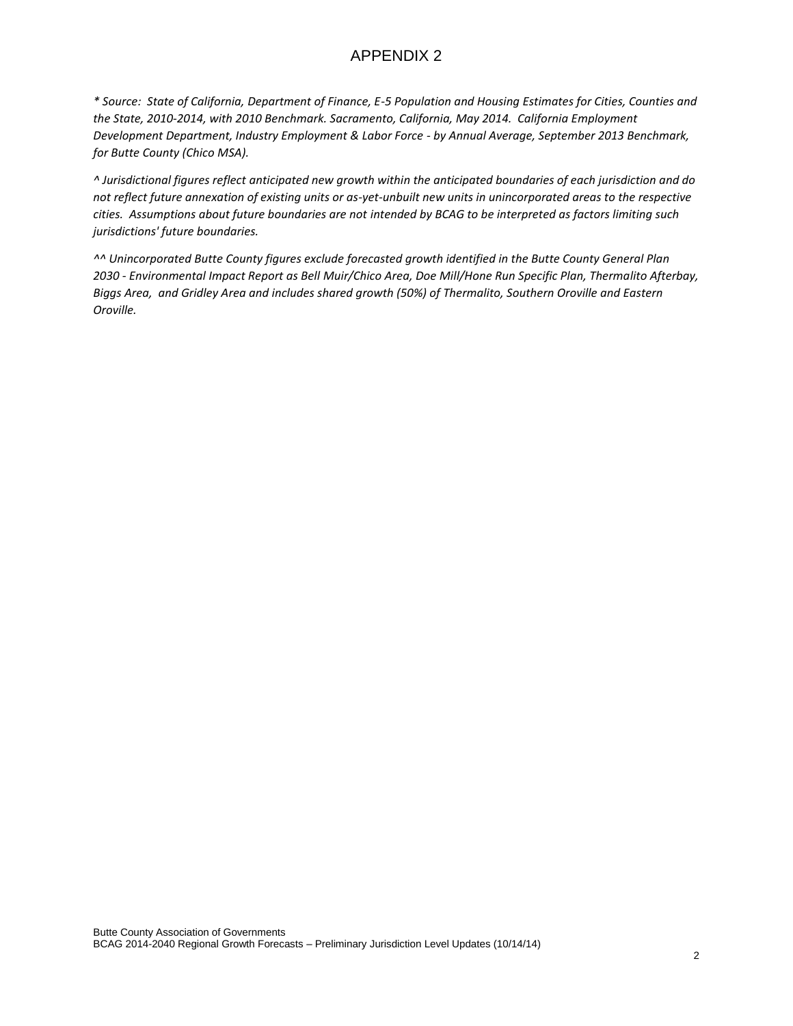# **FORECAST METHODOLOGY**

BCAG has prepared the forecasts using professionally accepted methodologies for long-range forecasting. Utilizing a "top down" approach, long-term projections prepared by the State of California were consulted for Butte County and used to re-establish control totals for the region. Additionally, a variety of data sources, including input from local jurisdiction staff, were reviewed and carried over from the 2010 forecasts and inserted at the local jurisdiction level, therefore incorporating a "bottom up" approach. Forecasts were then allocated into five year increments until the year 2040. Lastly, low, medium, and high scenarios were prepared for each forecasted category.

## **HOUSING**

The latest California Department of Finance (DOF) long range population and housing projections, as of June 2014, were analyzed for the period 2015-2040 for the Butte County region. These projections determine that the Butte County region will grow at a Compound Annual Growth Rate (CAGR) of 1.4%. This information was used to establish the control total for BCAG's medium forecast scenario.

BCAG then prepared a revise of the 2010 BCAG growth forecasts utilizing 2014 base line data and the long range forecasts from DOF. A "carry-over" of the forecasted growth from the 2010-2035 forecasts to the new 2014-2040 range was applied. An adjustment to the 2035 and 2040 forecast periods was then made to mirror the trend of the DOF forecasts at the Butte County level. Appendix #1 provides details regarding the county level adjustments. The information was then reviewed by local agency planning staff.

A similar approach was then applied at the jurisdiction level, taking into consideration the latest DOF information for each. Once compiled for all jurisdictions, the housing forecasts showed a regional CAGR of 1.37%. This information was used to represent the medium forecast scenario. Appendix #2 provides details regarding the local level adjustments. The information was then reviewed by local agency planning staff.

Based on a 0.2 percent incremental change between the established high and medium scenarios, a low and high housing scenario were developed using a CAGR of 1.17% and 1.57%. This incremental change is identical to that included with the 2010 forecasts.

## POPULATION

Population forecasts were prepared by applying average persons per housing unit to the housing unit forecasts. This method allows for the capture of variations in household for each jurisdiction. The average person per housing unit was prepared by dividing the 2014 DOF preliminary population estimates by the preliminary housing estimates for each jurisdiction. This method was applied to all scenarios.